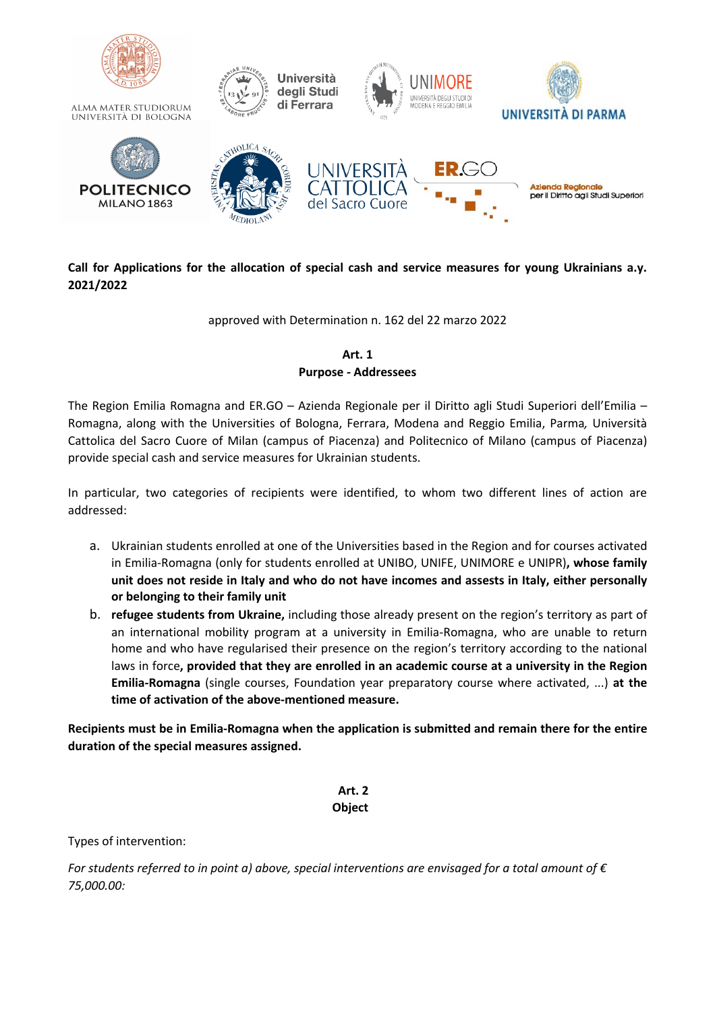

# **Call for Applications for the allocation of special cash and service measures for young Ukrainians a.y. 2021/2022**

approved with Determination n. 162 del 22 marzo 2022

# **Art. 1 Purpose - Addressees**

The Region Emilia Romagna and ER.GO – Azienda Regionale per il Diritto agli Studi Superiori dell'Emilia – Romagna, along with the Universities of Bologna, Ferrara, Modena and Reggio Emilia, Parma*,* Università Cattolica del Sacro Cuore of Milan (campus of Piacenza) and Politecnico of Milano (campus of Piacenza) provide special cash and service measures for Ukrainian students.

In particular, two categories of recipients were identified, to whom two different lines of action are addressed:

- a. Ukrainian students enrolled at one of the Universities based in the Region and for courses activated in Emilia-Romagna (only for students enrolled at UNIBO, UNIFE, UNIMORE e UNIPR)**, whose family unit does not reside in Italy and who do not have incomes and assests in Italy, either personally or belonging to their family unit**
- b. **refugee students from Ukraine,** including those already present on the region's territory as part of an international mobility program at a university in Emilia-Romagna, who are unable to return home and who have regularised their presence on the region's territory according to the national laws in force**, provided that they are enrolled in an academic course at a university in the Region Emilia-Romagna** (single courses, Foundation year preparatory course where activated, ...) **at the time of activation of the above-mentioned measure.**

**Recipients must be in Emilia-Romagna when the application is submitted and remain there for the entire duration of the special measures assigned.**

## **Art. 2 Object**

Types of intervention:

*For students referred to in point a) above, special interventions are envisaged for a total amount of € 75,000.00:*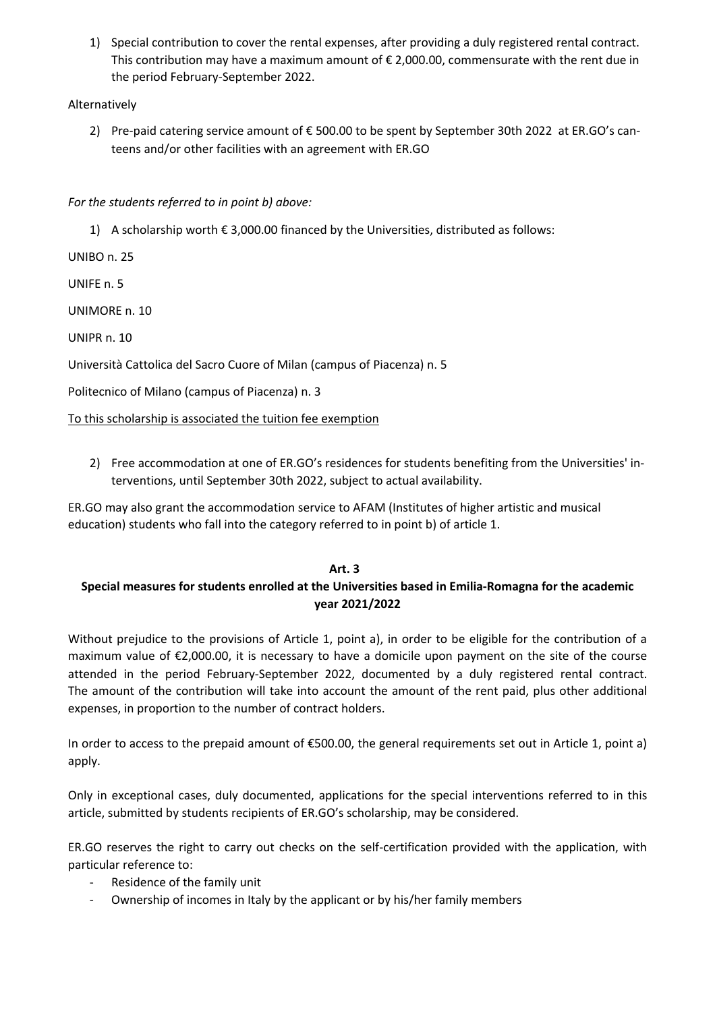1) Special contribution to cover the rental expenses, after providing a duly registered rental contract. This contribution may have a maximum amount of  $\epsilon$  2,000.00, commensurate with the rent due in the period February-September 2022.

## Alternatively

2) Pre-paid catering service amount of € 500.00 to be spent by September 30th 2022 at ER.GO's canteens and/or other facilities with an agreement with ER.GO

*For the students referred to in point b) above:*

1) A scholarship worth  $\epsilon$  3,000.00 financed by the Universities, distributed as follows:

UNIBO n. 25

UNIFE n. 5

UNIMORE n. 10

UNIPR n. 10

Università Cattolica del Sacro Cuore of Milan (campus of Piacenza) n. 5

Politecnico of Milano (campus of Piacenza) n. 3

To this scholarship is associated the tuition fee exemption

2) Free accommodation at one of ER.GO's residences for students benefiting from the Universities' interventions, until September 30th 2022, subject to actual availability.

ER.GO may also grant the accommodation service to AFAM (Institutes of higher artistic and musical education) students who fall into the category referred to in point b) of article 1.

#### **Art. 3**

# **Special measures for students enrolled at the Universities based in Emilia-Romagna for the academic year 2021/2022**

Without prejudice to the provisions of Article 1, point a), in order to be eligible for the contribution of a maximum value of €2,000.00, it is necessary to have a domicile upon payment on the site of the course attended in the period February-September 2022, documented by a duly registered rental contract. The amount of the contribution will take into account the amount of the rent paid, plus other additional expenses, in proportion to the number of contract holders.

In order to access to the prepaid amount of €500.00, the general requirements set out in Article 1, point a) apply.

Only in exceptional cases, duly documented, applications for the special interventions referred to in this article, submitted by students recipients of ER.GO's scholarship, may be considered.

ER.GO reserves the right to carry out checks on the self-certification provided with the application, with particular reference to:

- Residence of the family unit
- Ownership of incomes in Italy by the applicant or by his/her family members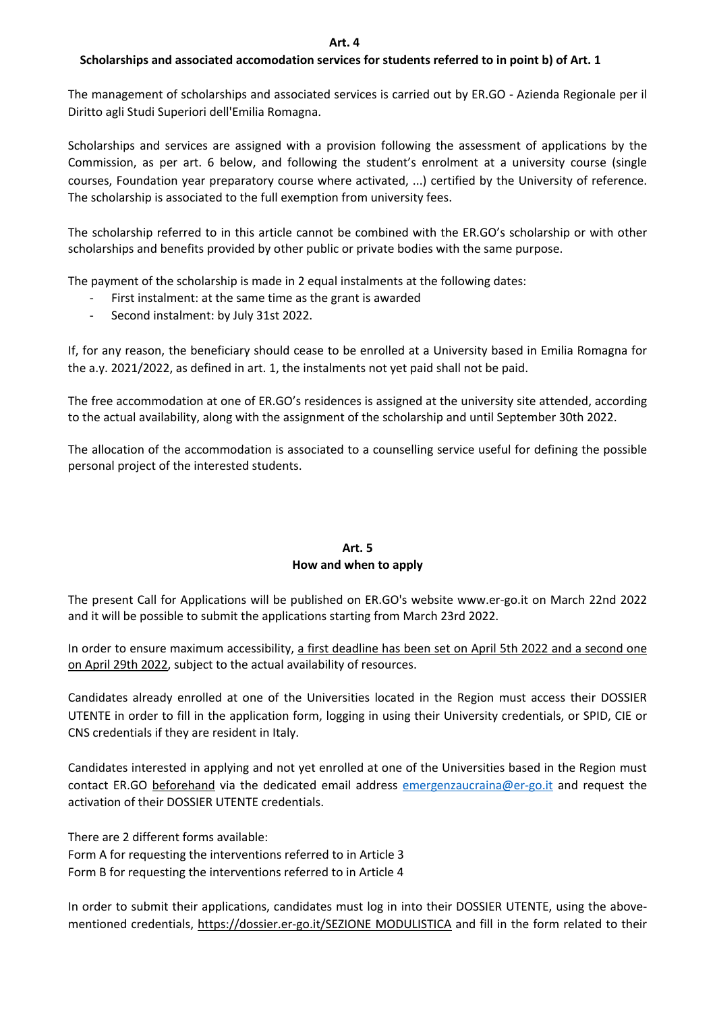## **Scholarships and associated accomodation services for students referred to in point b) of Art. 1**

The management of scholarships and associated services is carried out by ER.GO - Azienda Regionale per il Diritto agli Studi Superiori dell'Emilia Romagna.

Scholarships and services are assigned with a provision following the assessment of applications by the Commission, as per art. 6 below, and following the student's enrolment at a university course (single courses, Foundation year preparatory course where activated, ...) certified by the University of reference. The scholarship is associated to the full exemption from university fees.

The scholarship referred to in this article cannot be combined with the ER.GO's scholarship or with other scholarships and benefits provided by other public or private bodies with the same purpose.

The payment of the scholarship is made in 2 equal instalments at the following dates:

- First instalment: at the same time as the grant is awarded
- Second instalment: by July 31st 2022.

If, for any reason, the beneficiary should cease to be enrolled at a University based in Emilia Romagna for the a.y. 2021/2022, as defined in art. 1, the instalments not yet paid shall not be paid.

The free accommodation at one of ER.GO's residences is assigned at the university site attended, according to the actual availability, along with the assignment of the scholarship and until September 30th 2022.

The allocation of the accommodation is associated to a counselling service useful for defining the possible personal project of the interested students.

## **Art. 5 How and when to apply**

The present Call for Applications will be published on ER.GO's website www.er-go.it on March 22nd 2022 and it will be possible to submit the applications starting from March 23rd 2022.

In order to ensure maximum accessibility, a first deadline has been set on April 5th 2022 and a second one on April 29th 2022, subject to the actual availability of resources.

Candidates already enrolled at one of the Universities located in the Region must access their DOSSIER UTENTE in order to fill in the application form, logging in using their University credentials, or SPID, CIE or CNS credentials if they are resident in Italy.

Candidates interested in applying and not yet enrolled at one of the Universities based in the Region must contact ER.GO beforehand via the dedicated email address emergenzaucraina@er-go.it and request the activation of their DOSSIER UTENTE credentials.

There are 2 different forms available: Form A for requesting the interventions referred to in Article 3 Form B for requesting the interventions referred to in Article 4

In order to submit their applications, candidates must log in into their DOSSIER UTENTE, using the abovementioned credentials, https://dossier.er-go.it/SEZIONE MODULISTICA and fill in the form related to their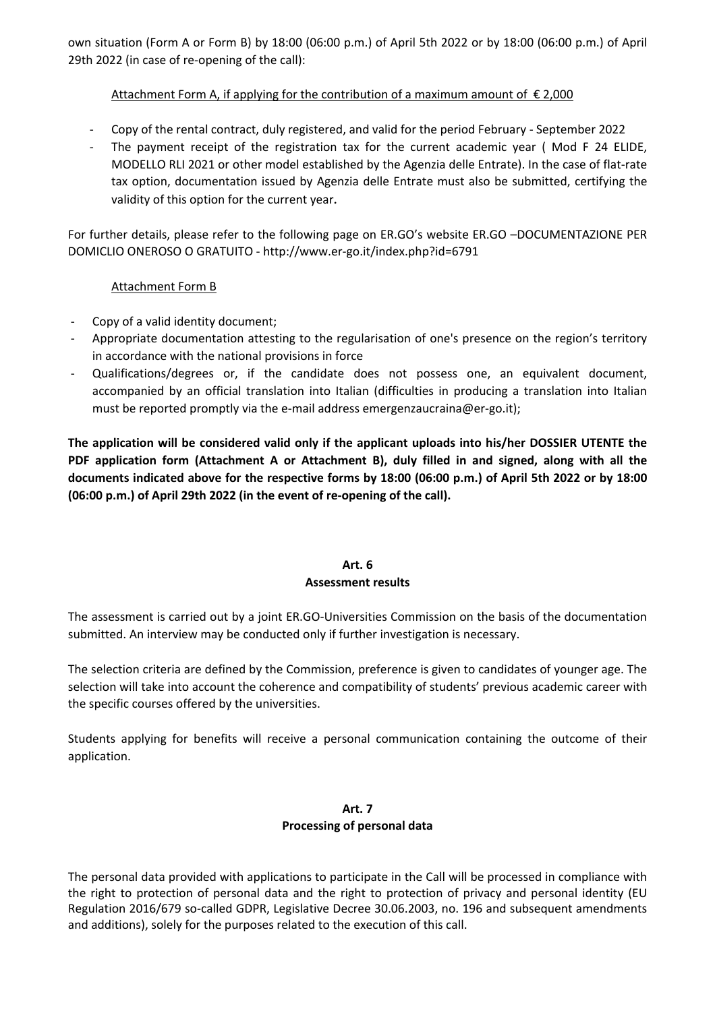own situation (Form A or Form B) by 18:00 (06:00 p.m.) of April 5th 2022 or by 18:00 (06:00 p.m.) of April 29th 2022 (in case of re-opening of the call):

## Attachment Form A, if applying for the contribution of a maximum amount of  $\epsilon$  2,000

- Copy of the rental contract, duly registered, and valid for the period February September 2022
- The payment receipt of the registration tax for the current academic year (Mod F 24 ELIDE, MODELLO RLI 2021 or other model established by the Agenzia delle Entrate). In the case of flat-rate tax option, documentation issued by Agenzia delle Entrate must also be submitted, certifying the validity of this option for the current year.

For further details, please refer to the following page on ER.GO's website ER.GO –DOCUMENTAZIONE PER DOMICLIO ONEROSO O GRATUITO - http://www.er-go.it/index.php?id=6791

### Attachment Form B

- Copy of a valid identity document;
- Appropriate documentation attesting to the regularisation of one's presence on the region's territory in accordance with the national provisions in force
- Qualifications/degrees or, if the candidate does not possess one, an equivalent document, accompanied by an official translation into Italian (difficulties in producing a translation into Italian must be reported promptly via the e-mail address emergenzaucraina@er-go.it);

**The application will be considered valid only if the applicant uploads into his/her DOSSIER UTENTE the PDF application form (Attachment A or Attachment B), duly filled in and signed, along with all the documents indicated above for the respective forms by 18:00 (06:00 p.m.) of April 5th 2022 or by 18:00 (06:00 p.m.) of April 29th 2022 (in the event of re-opening of the call).**

## **Art. 6 Assessment results**

The assessment is carried out by a joint ER.GO-Universities Commission on the basis of the documentation submitted. An interview may be conducted only if further investigation is necessary.

The selection criteria are defined by the Commission, preference is given to candidates of younger age. The selection will take into account the coherence and compatibility of students' previous academic career with the specific courses offered by the universities.

Students applying for benefits will receive a personal communication containing the outcome of their application.

### **Art. 7 Processing of personal data**

The personal data provided with applications to participate in the Call will be processed in compliance with the right to protection of personal data and the right to protection of privacy and personal identity (EU Regulation 2016/679 so-called GDPR, Legislative Decree 30.06.2003, no. 196 and subsequent amendments and additions), solely for the purposes related to the execution of this call.